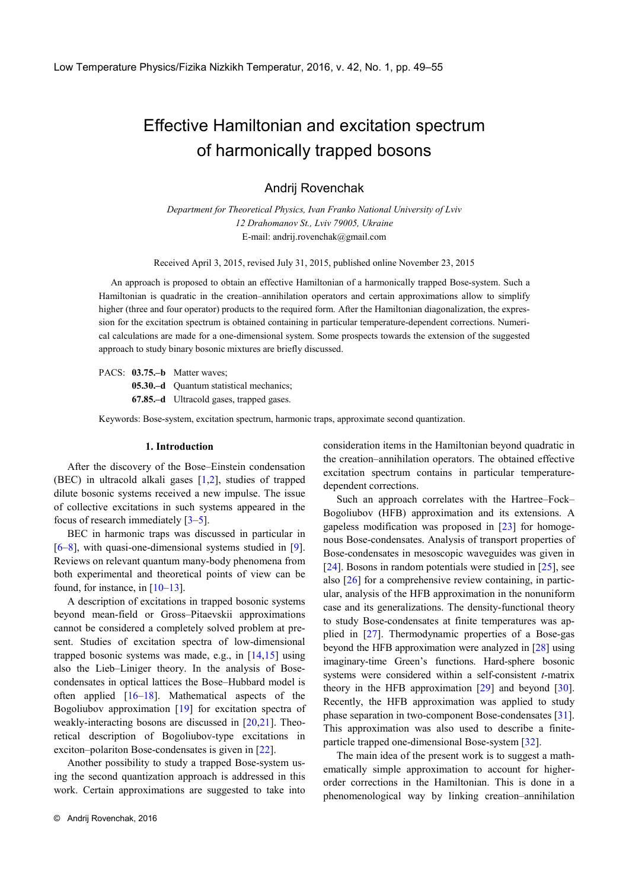# Effective Hamiltonian and excitation spectrum of harmonically trapped bosons

Andrij Rovenchak

*Department for Theoretical Physics, Ivan Franko National University of Lviv 12 Drahomanov St., Lviv 79005, Ukraine* E-mail: andrij.rovenchak@gmail.com

Received April 3, 2015, revised July 31, 2015, published online November 23, 2015

An approach is proposed to obtain an effective Hamiltonian of a harmonically trapped Bose-system. Such a Hamiltonian is quadratic in the creation–annihilation operators and certain approximations allow to simplify higher (three and four operator) products to the required form. After the Hamiltonian diagonalization, the expression for the excitation spectrum is obtained containing in particular temperature-dependent corrections. Numerical calculations are made for a one-dimensional system. Some prospects towards the extension of the suggested approach to study binary bosonic mixtures are briefly discussed.

PACS: **03.75.-b** Matter waves; **05.30.–d** Quantum statistical mechanics; **67.85.–d** Ultracold gases, trapped gases.

Keywords: Bose-system, excitation spectrum, harmonic traps, approximate second quantization.

#### **1. Introduction**

After the discovery of the Bose–Einstein condensation (BEC) in ultracold alkali gases [\[1](#page-6-0)[,2\]](#page-6-1), studies of trapped dilute bosonic systems received a new impulse. The issue of collective excitations in such systems appeared in the focus of research immediately [\[3](#page-6-2)[–5\]](#page-6-3).

BEC in harmonic traps was discussed in particular in [\[6–](#page-6-4)[8\]](#page-6-5), with quasi-one-dimensional systems studied in [\[9\]](#page-6-6). Reviews on relevant quantum many-body phenomena from both experimental and theoretical points of view can be found, for instance, in  $[10-13]$  $[10-13]$ .

A description of excitations in trapped bosonic systems beyond mean-field or Gross–Pitaevskii approximations cannot be considered a completely solved problem at present. Studies of excitation spectra of low-dimensional trapped bosonic systems was made, e.g., in [\[14](#page-6-9)[,15\]](#page-6-10) using also the Lieb–Liniger theory. In the analysis of Bosecondensates in optical lattices the Bose–Hubbard model is often applied [\[16–](#page-6-11)[18\]](#page-6-12). Mathematical aspects of the Bogoliubov approximation [\[19\]](#page-6-13) for excitation spectra of weakly-interacting bosons are discussed in [\[20,](#page-6-14)[21\]](#page-6-15). Theoretical description of Bogoliubov-type excitations in exciton–polariton Bose-condensates is given in [\[22\]](#page-6-16).

Another possibility to study a trapped Bose-system using the second quantization approach is addressed in this work. Certain approximations are suggested to take into consideration items in the Hamiltonian beyond quadratic in the creation–annihilation operators. The obtained effective excitation spectrum contains in particular temperaturedependent corrections.

Such an approach correlates with the Hartree–Fock– Bogoliubov (HFB) approximation and its extensions. A gapeless modification was proposed in [\[23\]](#page-6-17) for homogenous Bose-condensates. Analysis of transport properties of Bose-condensates in mesoscopic waveguides was given in [\[24\]](#page-6-18). Bosons in random potentials were studied in [\[25\]](#page-6-19), see also [\[26\]](#page-6-20) for a comprehensive review containing, in particular, analysis of the HFB approximation in the nonuniform case and its generalizations. The density-functional theory to study Bose-condensates at finite temperatures was applied in [\[27\]](#page-6-21). Thermodynamic properties of a Bose-gas beyond the HFB approximation were analyzed in [\[28\]](#page-6-22) using imaginary-time Green's functions. Hard-sphere bosonic systems were considered within a self-consistent *t*-matrix theory in the HFB approximation [\[29\]](#page-6-23) and beyond [\[30\]](#page-6-24). Recently, the HFB approximation was applied to study phase separation in two-component Bose-condensates [\[31\]](#page-6-25). This approximation was also used to describe a finiteparticle trapped one-dimensional Bose-system [\[32\]](#page-6-26).

The main idea of the present work is to suggest a mathematically simple approximation to account for higherorder corrections in the Hamiltonian. This is done in a phenomenological way by linking creation–annihilation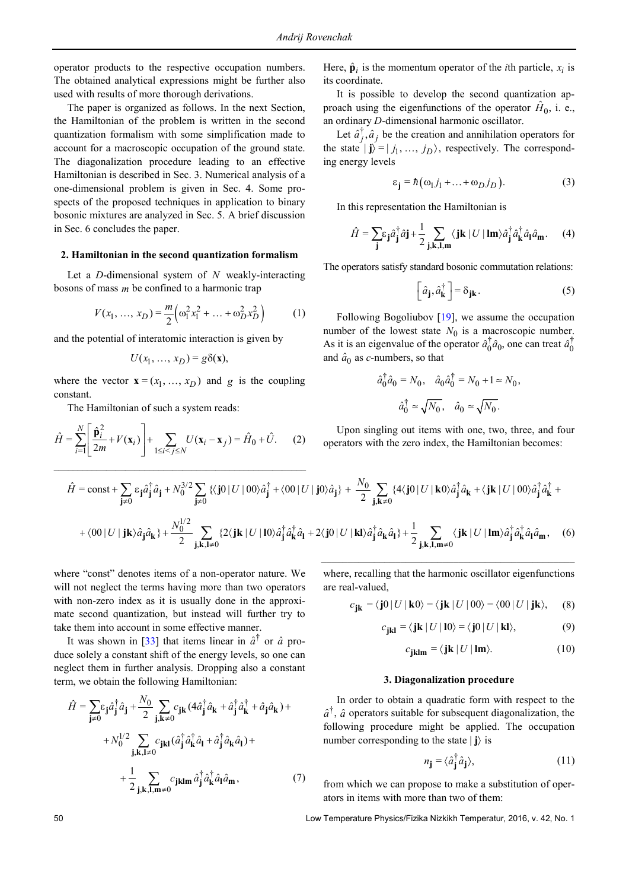operator products to the respective occupation numbers. The obtained analytical expressions might be further also used with results of more thorough derivations.

The paper is organized as follows. In the next Section, the Hamiltonian of the problem is written in the second quantization formalism with some simplification made to account for a macroscopic occupation of the ground state. The diagonalization procedure leading to an effective Hamiltonian is described in Sec. 3. Numerical analysis of a one-dimensional problem is given in Sec. 4. Some prospects of the proposed techniques in application to binary bosonic mixtures are analyzed in Sec. 5. A brief discussion in Sec. 6 concludes the paper.

# **2. Hamiltonian in the second quantization formalism**

Let a *D*-dimensional system of *N* weakly-interacting bosons of mass *m* be confined to a harmonic trap

$$
V(x_1, ..., x_D) = \frac{m}{2} \left( \omega_1^2 x_1^2 + ... + \omega_D^2 x_D^2 \right)
$$
 (1)

and the potential of interatomic interaction is given by

$$
U(x_1, ..., x_D) = g\delta(\mathbf{x}),
$$

where the vector  $\mathbf{x} = (x_1, ..., x_D)$  and *g* is the coupling constant.

The Hamiltonian of such a system reads:

$$
\hat{H} = \sum_{i=1}^{N} \left[ \frac{\hat{\mathbf{p}}_i^2}{2m} + V(\mathbf{x}_i) \right] + \sum_{1 \le i < j \le N} U(\mathbf{x}_i - \mathbf{x}_j) = \hat{H}_0 + \hat{U}.
$$
 (2)

Here,  $\hat{\mathbf{p}}_i$  is the momentum operator of the *i*th particle,  $x_i$  is its coordinate.

It is possible to develop the second quantization approach using the eigenfunctions of the operator  $H_0$ , i. e., an ordinary *D*-dimensional harmonic oscillator.

Let  $\hat{a}_j^{\dagger}$ ,  $\hat{a}_j$  be the creation and annihilation operators for the state  $|\mathbf{j}\rangle = | j_1, ..., j_D \rangle$ , respectively. The corresponding energy levels

$$
\varepsilon_{\mathbf{j}} = \hbar \big( \omega_1 j_1 + \dots + \omega_D j_D \big). \tag{3}
$$

In this representation the Hamiltonian is

$$
\hat{H} = \sum_{\mathbf{j}} \varepsilon_{\mathbf{j}} \hat{a}_{\mathbf{j}}^{\dagger} \hat{a}_{\mathbf{j}} + \frac{1}{2} \sum_{\mathbf{j}, \mathbf{k}, \mathbf{l}, \mathbf{m}} \langle \mathbf{j} \mathbf{k} | U | \mathbf{l} \mathbf{m} \rangle \hat{a}_{\mathbf{j}}^{\dagger} \hat{a}_{\mathbf{k}}^{\dagger} \hat{a}_{\mathbf{l}} \hat{a}_{\mathbf{m}}. \tag{4}
$$

The operators satisfy standard bosonic commutation relations:

$$
\left[ \hat{a}_{\mathbf{j}}, \hat{a}_{\mathbf{k}}^{\dagger} \right] = \delta_{\mathbf{j}\mathbf{k}}.
$$
 (5)

Following Bogoliubov [\[19\]](#page-6-13), we assume the occupation number of the lowest state  $N_0$  is a macroscopic number. As it is an eigenvalue of the operator  $\hat{a}_0^{\dagger} \hat{a}_0$ , one can treat  $\hat{a}_0^{\dagger}$ and  $\hat{a}_0$  as *c*-numbers, so that

$$
\hat{a}_0^{\dagger} \hat{a}_0 = N_0, \quad \hat{a}_0 \hat{a}_0^{\dagger} = N_0 + 1 \approx N_0,
$$
  
 $\hat{a}_0^{\dagger} \approx \sqrt{N_0}, \quad \hat{a}_0 \approx \sqrt{N_0}.$ 

Upon singling out items with one, two, three, and four operators with the zero index, the Hamiltonian becomes:

$$
\hat{H} = \text{const} + \sum_{\mathbf{j}\neq 0} \varepsilon_{\mathbf{j}} \hat{a}_{\mathbf{j}}^{\dagger} \hat{a}_{\mathbf{j}} + N_0^{3/2} \sum_{\mathbf{j}\neq 0} \left\{ \langle \mathbf{j}0 | U | 00 \rangle \hat{a}_{\mathbf{j}}^{\dagger} + \langle 00 | U | \mathbf{j}0 \rangle \hat{a}_{\mathbf{j}} \right\} + \frac{N_0}{2} \sum_{\mathbf{j}, \mathbf{k}\neq 0} \left\{ 4 \langle \mathbf{j}0 | U | \mathbf{k}0 \rangle \hat{a}_{\mathbf{j}}^{\dagger} \hat{a}_{\mathbf{k}} + \langle \mathbf{j} \mathbf{k} | U | 00 \rangle \hat{a}_{\mathbf{j}}^{\dagger} \hat{a}_{\mathbf{k}}^{\dagger} + \langle 00 | U | \mathbf{j} \mathbf{k} \rangle \hat{a}_{\mathbf{j}} \hat{a}_{\mathbf{k}} \right\} + \frac{N_0^{1/2}}{2} \sum_{\mathbf{j}, \mathbf{k}, \mathbf{l}\neq 0} \left\{ 2 \langle \mathbf{j} \mathbf{k} | U | 10 \rangle \hat{a}_{\mathbf{j}}^{\dagger} \hat{a}_{\mathbf{k}}^{\dagger} \hat{a}_{\mathbf{l}} + 2 \langle \mathbf{j}0 | U | \mathbf{k} \rangle \hat{a}_{\mathbf{j}}^{\dagger} \hat{a}_{\mathbf{k}} \hat{a}_{\mathbf{l}} \right\} + \frac{1}{2} \sum_{\mathbf{j}, \mathbf{k}, \mathbf{l}, \mathbf{m}\neq 0} \langle \mathbf{j} \mathbf{k} | U | \mathbf{l} \mathbf{m} \rangle \hat{a}_{\mathbf{j}}^{\dagger} \hat{a}_{\mathbf{k}}^{\dagger} \hat{a}_{\mathbf{l}} \hat{a}_{\mathbf{m}}, \quad (6)
$$

where "const" denotes items of a non-operator nature. We will not neglect the terms having more than two operators with non-zero index as it is usually done in the approximate second quantization, but instead will further try to take them into account in some effective manner.

It was shown in [\[33\]](#page-6-27) that items linear in  $\hat{a}^{\dagger}$  or  $\hat{a}$  produce solely a constant shift of the energy levels, so one can neglect them in further analysis. Dropping also a constant term, we obtain the following Hamiltonian:

$$
\hat{H} = \sum_{\mathbf{j}\neq 0} \hat{a}_{\mathbf{j}}^{\dagger} \hat{a}_{\mathbf{j}} + \frac{N_0}{2} \sum_{\mathbf{j}, \mathbf{k}\neq 0} c_{\mathbf{j}\mathbf{k}} (4\hat{a}_{\mathbf{j}}^{\dagger} \hat{a}_{\mathbf{k}} + \hat{a}_{\mathbf{j}}^{\dagger} \hat{a}_{\mathbf{k}}^{\dagger} + \hat{a}_{\mathbf{j}} \hat{a}_{\mathbf{k}}) +
$$

$$
+ N_0^{1/2} \sum_{\mathbf{j}, \mathbf{k}, \mathbf{l}\neq 0} c_{\mathbf{j}\mathbf{k}\mathbf{l}} (\hat{a}_{\mathbf{j}}^{\dagger} \hat{a}_{\mathbf{k}}^{\dagger} \hat{a}_{\mathbf{l}} + \hat{a}_{\mathbf{j}}^{\dagger} \hat{a}_{\mathbf{k}} \hat{a}_{\mathbf{l}}) +
$$

$$
+ \frac{1}{2} \sum_{\mathbf{j}, \mathbf{k}, \mathbf{l}, \mathbf{m}\neq 0} c_{\mathbf{j}\mathbf{k}\mathbf{l}\mathbf{m}} \hat{a}_{\mathbf{j}}^{\dagger} \hat{a}_{\mathbf{k}}^{\dagger} \hat{a}_{\mathbf{l}} \hat{a}_{\mathbf{m}}, \tag{7}
$$

where, recalling that the harmonic oscillator eigenfunctions are real-valued,

\_\_\_\_\_\_\_\_\_\_\_\_\_\_\_\_\_\_\_\_\_\_\_\_\_\_\_\_\_\_\_\_\_\_\_\_\_\_\_\_\_\_\_\_\_\_\_\_

$$
c_{jk} = \langle j0 | U | k0 \rangle = \langle jk | U | 00 \rangle = \langle 00 | U | jk \rangle, \quad (8)
$$

$$
c_{jkl} = \langle jk | U | 10 \rangle = \langle j0 | U | kl \rangle, \tag{9}
$$

$$
c_{jklm} = \langle jk | U | Im \rangle. \tag{10}
$$

## **3. Diagonalization procedure**

In order to obtain a quadratic form with respect to the  $\hat{a}^{\dagger}$ ,  $\hat{a}$  operators suitable for subsequent diagonalization, the following procedure might be applied. The occupation number corresponding to the state | **j**〉 is

$$
n_{\mathbf{j}} = \langle \hat{a}_{\mathbf{j}}^{\dagger} \hat{a}_{\mathbf{j}} \rangle, \tag{11}
$$

from which we can propose to make a substitution of operators in items with more than two of them:

50 Low Temperature Physics/Fizika Nizkikh Temperatur, 2016, v. 42, No. 1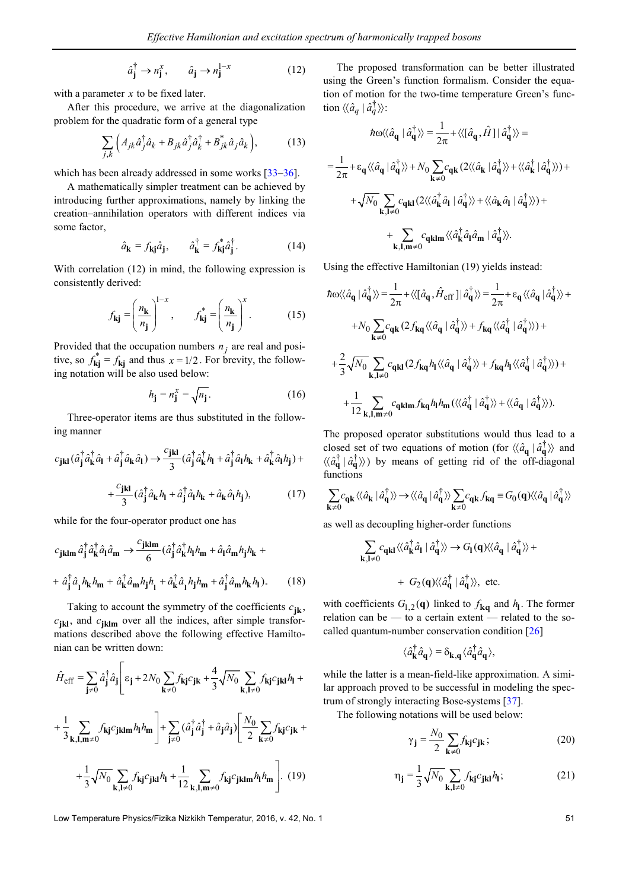$$
\hat{a}_{\mathbf{j}}^{\dagger} \to n_{\mathbf{j}}^{x}, \qquad \hat{a}_{\mathbf{j}} \to n_{\mathbf{j}}^{1-x} \tag{12}
$$

with a parameter *x* to be fixed later.

After this procedure, we arrive at the diagonalization problem for the quadratic form of a general type

$$
\sum_{j,k} \left( A_{jk} \hat{a}_j^{\dagger} \hat{a}_k + B_{jk} \hat{a}_j^{\dagger} \hat{a}_k^{\dagger} + B_{jk}^* \hat{a}_j \hat{a}_k \right), \tag{13}
$$

which has been already addressed in some works [\[33](#page-6-27)[–36\]](#page-6-28).

A mathematically simpler treatment can be achieved by introducing further approximations, namely by linking the creation–annihilation operators with different indices via some factor,

$$
\hat{a}_{\mathbf{k}} = f_{\mathbf{k} \mathbf{j}} \hat{a}_{\mathbf{j}}, \qquad \hat{a}_{\mathbf{k}}^{\dagger} = f_{\mathbf{k} \mathbf{j}}^* \hat{a}_{\mathbf{j}}^{\dagger}.
$$
 (14)

With correlation (12) in mind, the following expression is consistently derived:

$$
f_{\mathbf{k}\mathbf{j}} = \left(\frac{n_{\mathbf{k}}}{n_{\mathbf{j}}}\right)^{1-x}, \qquad f_{\mathbf{k}\mathbf{j}}^* = \left(\frac{n_{\mathbf{k}}}{n_{\mathbf{j}}}\right)^x. \tag{15}
$$

Provided that the occupation numbers  $n_j$  are real and positive, so  $f_{kj} = f_{kj}$  and thus  $x = 1/2$ . For brevity, the following notation will be also used below:

$$
h_{\mathbf{j}} = n_{\mathbf{j}}^{x} = \sqrt{n_{\mathbf{j}}}.
$$
 (16)

Three-operator items are thus substituted in the following manner

$$
c_{jkl}(\hat{a}_j^{\dagger}\hat{a}_k^{\dagger}\hat{a}_l + \hat{a}_j^{\dagger}\hat{a}_k\hat{a}_l) \rightarrow \frac{c_{jkl}}{3}(\hat{a}_j^{\dagger}\hat{a}_k^{\dagger}h_l + \hat{a}_j^{\dagger}\hat{a}_lh_k + \hat{a}_k^{\dagger}\hat{a}_lh_j) +
$$

$$
+ \frac{c_{jkl}}{3}(\hat{a}_j^{\dagger}\hat{a}_kh_l + \hat{a}_j^{\dagger}\hat{a}_lh_k + \hat{a}_k\hat{a}_lh_j), \qquad (17)
$$

while for the four-operator product one has

$$
c_{jklm} \hat{a}_j^\dagger \hat{a}_k^\dagger \hat{a}_l \hat{a}_m \rightarrow \frac{c_{jklm}}{6} (\hat{a}_j^\dagger \hat{a}_k^\dagger h_l h_m + \hat{a}_l \hat{a}_m h_j h_k + + \hat{a}_j^\dagger \hat{a}_l h_k h_m + \hat{a}_k^\dagger \hat{a}_m h_j h_l + \hat{a}_k^\dagger \hat{a}_l h_j h_m + \hat{a}_j^\dagger \hat{a}_m h_k h_l).
$$
 (18)

Taking to account the symmetry of the coefficients  $c_{jk}$ ,  $c_{\bf jkl}$ , and  $c_{\bf jklm}$  over all the indices, after simple transformations described above the following effective Hamiltonian can be written down:

$$
\hat{H}_{\text{eff}} = \sum_{\mathbf{j}\neq 0} \hat{a}_{\mathbf{j}}^{\dagger} \hat{a}_{\mathbf{j}} \Bigg[ \varepsilon_{\mathbf{j}} + 2N_0 \sum_{\mathbf{k}\neq 0} f_{\mathbf{k}\mathbf{j}} c_{\mathbf{j}\mathbf{k}} + \frac{4}{3} \sqrt{N_0} \sum_{\mathbf{k}, \mathbf{l}\neq 0} f_{\mathbf{k}\mathbf{j}} c_{\mathbf{j}\mathbf{k}\mathbf{l}} h_{\mathbf{l}} +
$$

$$
+ \frac{1}{3} \sum_{\mathbf{k}, \mathbf{l}, \mathbf{m}\neq 0} f_{\mathbf{k}\mathbf{j}} c_{\mathbf{j}\mathbf{k}\mathbf{l}\mathbf{m}} h_{\mathbf{l}} h_{\mathbf{m}} \Bigg] + \sum_{\mathbf{j}\neq 0} (\hat{a}_{\mathbf{j}}^{\dagger} \hat{a}_{\mathbf{j}}^{\dagger} + \hat{a}_{\mathbf{j}} \hat{a}_{\mathbf{j}}) \Bigg[ \frac{N_0}{2} \sum_{\mathbf{k}\neq 0} f_{\mathbf{k}\mathbf{j}} c_{\mathbf{j}\mathbf{k}} +
$$

$$
+ \frac{1}{3} \sqrt{N_0} \sum_{\mathbf{k}, \mathbf{l}\neq 0} f_{\mathbf{k}\mathbf{j}} c_{\mathbf{j}\mathbf{k}\mathbf{l}} h_{\mathbf{l}} + \frac{1}{12} \sum_{\mathbf{k}, \mathbf{l}, \mathbf{m}\neq 0} f_{\mathbf{k}\mathbf{j}} c_{\mathbf{j}\mathbf{k}\mathbf{l}\mathbf{m}} h_{\mathbf{l}} h_{\mathbf{m}} \Bigg]. \tag{19}
$$

Low Temperature Physics/Fizika Nizkikh Temperatur, 2016, v. 42, No. 1 51

The proposed transformation can be better illustrated using the Green's function formalism. Consider the equation of motion for the two-time temperature Green's function  $\langle \langle \hat{a}_q | \hat{a}_q^{\dagger} \rangle \rangle$ :

$$
\hbar \omega \langle \langle \hat{a}_{\mathbf{q}} | \hat{a}_{\mathbf{q}}^{\dagger} \rangle \rangle = \frac{1}{2\pi} + \langle \langle [\hat{a}_{\mathbf{q}}, \hat{H}] | \hat{a}_{\mathbf{q}}^{\dagger} \rangle \rangle =
$$
\n
$$
= \frac{1}{2\pi} + \varepsilon_{\mathbf{q}} \langle \langle \hat{a}_{\mathbf{q}} | \hat{a}_{\mathbf{q}}^{\dagger} \rangle \rangle + N_0 \sum_{\mathbf{k} \neq 0} c_{\mathbf{q} \mathbf{k}} (2 \langle \langle \hat{a}_{\mathbf{k}} | \hat{a}_{\mathbf{q}}^{\dagger} \rangle \rangle + \langle \langle \hat{a}_{\mathbf{k}}^{\dagger} | \hat{a}_{\mathbf{q}}^{\dagger} \rangle \rangle) +
$$
\n
$$
+ \sqrt{N_0} \sum_{\mathbf{k}, \mathbf{l} \neq 0} c_{\mathbf{q} \mathbf{k} \mathbf{l}} (2 \langle \langle \hat{a}_{\mathbf{k}}^{\dagger} \hat{a}_{\mathbf{l}} | \hat{a}_{\mathbf{q}}^{\dagger} \rangle \rangle + \langle \langle \hat{a}_{\mathbf{k}} \hat{a}_{\mathbf{l}} | \hat{a}_{\mathbf{q}}^{\dagger} \rangle \rangle) +
$$
\n
$$
+ \sum_{\mathbf{k}, \mathbf{l}, \mathbf{m} \neq 0} c_{\mathbf{q} \mathbf{k} \mathbf{l} \mathbf{m}} \langle \langle \hat{a}_{\mathbf{k}}^{\dagger} \hat{a}_{\mathbf{l}} \hat{a}_{\mathbf{m}} | \hat{a}_{\mathbf{q}}^{\dagger} \rangle \rangle.
$$

Using the effective Hamiltonian (19) yields instead:

$$
\hbar \omega \langle \langle \hat{a}_{\mathbf{q}} | \hat{a}_{\mathbf{q}}^{\dagger} \rangle \rangle = \frac{1}{2\pi} + \langle \langle [\hat{a}_{\mathbf{q}}, \hat{H}_{\text{eff}}] | \hat{a}_{\mathbf{q}}^{\dagger} \rangle \rangle = \frac{1}{2\pi} + \varepsilon_{\mathbf{q}} \langle \langle \hat{a}_{\mathbf{q}} | \hat{a}_{\mathbf{q}}^{\dagger} \rangle \rangle +
$$
  
+
$$
N_0 \sum_{\mathbf{k} \neq 0} c_{\mathbf{q} \mathbf{k}} (2 f_{\mathbf{kq}} \langle \langle \hat{a}_{\mathbf{q}} | \hat{a}_{\mathbf{q}}^{\dagger} \rangle \rangle + f_{\mathbf{kq}} \langle \langle \hat{a}_{\mathbf{q}}^{\dagger} | \hat{a}_{\mathbf{q}}^{\dagger} \rangle \rangle ) +
$$
  
+
$$
\frac{2}{3} \sqrt{N_0} \sum_{\mathbf{k}, \mathbf{l} \neq 0} c_{\mathbf{q} \mathbf{k} \mathbf{l}} (2 f_{\mathbf{kq}} h_{\mathbf{l}} \langle \langle \hat{a}_{\mathbf{q}} | \hat{a}_{\mathbf{q}}^{\dagger} \rangle \rangle + f_{\mathbf{kq}} h_{\mathbf{l}} \langle \langle \hat{a}_{\mathbf{q}}^{\dagger} | \hat{a}_{\mathbf{q}}^{\dagger} \rangle \rangle ) +
$$
  
+
$$
\frac{1}{12} \sum_{\mathbf{k}, \mathbf{l}, \mathbf{m} \neq 0} c_{\mathbf{q} \mathbf{k} \mathbf{l} \mathbf{m}} f_{\mathbf{kq}} h_{\mathbf{l}} h_{\mathbf{m}} (\langle \langle \hat{a}_{\mathbf{q}}^{\dagger} | \hat{a}_{\mathbf{q}}^{\dagger} \rangle \rangle + \langle \langle \hat{a}_{\mathbf{q}} | \hat{a}_{\mathbf{q}}^{\dagger} \rangle \rangle ).
$$

The proposed operator substitutions would thus lead to a closed set of two equations of motion (for  $\langle \langle \hat{a}_q | \hat{a}_q^{\dagger} \rangle \rangle$  and  $\langle \langle \hat{a}_{\bf q}^{\dagger} | \hat{a}_{\bf q}^{\dagger} \rangle \rangle$  by means of getting rid of the off-diagonal functions

$$
\sum_{\mathbf{k}\neq 0}c_{\mathbf{q}\mathbf{k}}\langle\langle \hat{a}_{\mathbf{k}}\mid \hat{a}_{\mathbf{q}}^{\dagger}\rangle\rangle \longrightarrow \langle\langle \hat{a}_{\mathbf{q}}\mid \hat{a}_{\mathbf{q}}^{\dagger}\rangle\rangle \sum_{\mathbf{k}\neq 0}c_{\mathbf{q}\mathbf{k}}f_{\mathbf{kq}}\equiv G_{0}(\mathbf{q})\langle\langle \hat{a}_{\mathbf{q}}\mid \hat{a}_{\mathbf{q}}^{\dagger}\rangle\rangle
$$

as well as decoupling higher-order functions

$$
\sum_{\mathbf{k},\mathbf{l}\neq 0}c_{\mathbf{q}\mathbf{k}\mathbf{l}}\langle\langle \hat{a}_{\mathbf{k}}^{\dagger}\hat{a}_{\mathbf{l}}\mid \hat{a}_{\mathbf{q}}^{\dagger}\rangle\rangle \rightarrow G_{\mathbf{l}}(\mathbf{q})\langle\langle \hat{a}_{\mathbf{q}}\mid \hat{a}_{\mathbf{q}}^{\dagger}\rangle\rangle +
$$
  
+  $G_{2}(\mathbf{q})\langle\langle \hat{a}_{\mathbf{q}}^{\dagger}\mid \hat{a}_{\mathbf{q}}^{\dagger}\rangle\rangle$ , etc.

with coefficients  $G_{1,2}(\mathbf{q})$  linked to  $f_{\mathbf{kq}}$  and  $h_{\mathbf{l}}$ . The former relation can be — to a certain extent — related to the socalled quantum-number conservation condition [\[26\]](#page-6-20)

$$
\langle \hat{a}_{\mathbf{k}}^{\dagger} \hat{a}_{\mathbf{q}} \rangle = \delta_{\mathbf{k},\mathbf{q}} \langle \hat{a}_{\mathbf{q}}^{\dagger} \hat{a}_{\mathbf{q}} \rangle,
$$

while the latter is a mean-field-like approximation. A similar approach proved to be successful in modeling the spectrum of strongly interacting Bose-systems [\[37\]](#page-6-29).

The following notations will be used below:

$$
\gamma_{\mathbf{j}} = \frac{N_0}{2} \sum_{\mathbf{k} \neq 0} f_{\mathbf{k} \mathbf{j}} c_{\mathbf{j} \mathbf{k}}; \tag{20}
$$

$$
\eta_{\mathbf{j}} = \frac{1}{3} \sqrt{N_0} \sum_{\mathbf{k}, \mathbf{l} \neq 0} f_{\mathbf{k} \mathbf{j}} c_{\mathbf{j} \mathbf{k} \mathbf{l}} h_{\mathbf{l}}; \tag{21}
$$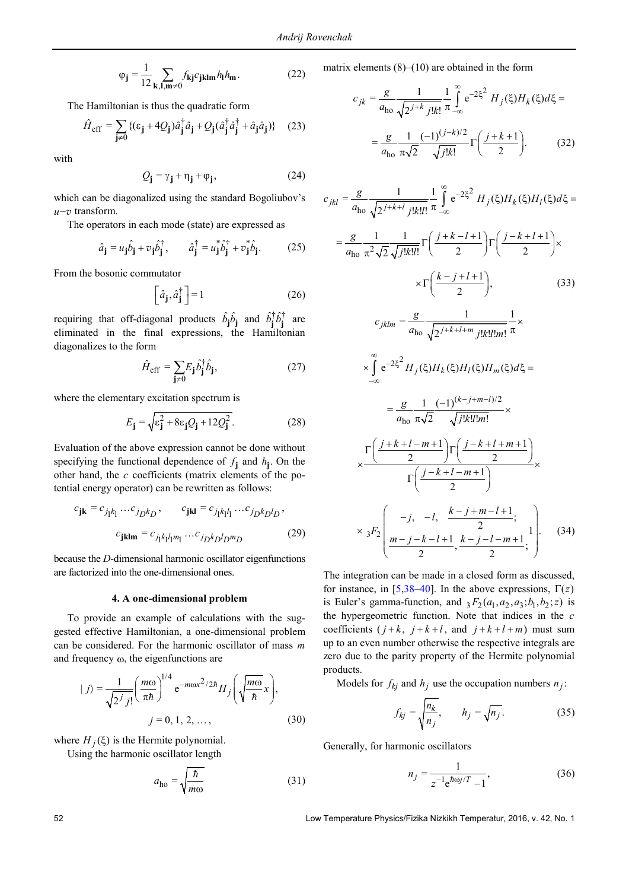$$
\varphi_{\mathbf{j}} = \frac{1}{12} \sum_{\mathbf{k}, \mathbf{l}, \mathbf{m} \neq 0} f_{\mathbf{k} \mathbf{j}} c_{\mathbf{j} \mathbf{k} \mathbf{l} \mathbf{m}} h_{\mathbf{l}} h_{\mathbf{m}}.
$$
 (22)

The Hamiltonian is thus the quadratic form

$$
\hat{H}_{\text{eff}} = \sum_{\mathbf{j} \neq 0} \{ (\varepsilon_{\mathbf{j}} + 4Q_{\mathbf{j}}) \hat{a}_{\mathbf{j}}^{\dagger} \hat{a}_{\mathbf{j}} + Q_{\mathbf{j}} (\hat{a}_{\mathbf{j}}^{\dagger} \hat{a}_{\mathbf{j}}^{\dagger} + \hat{a}_{\mathbf{j}} \hat{a}_{\mathbf{j}}) \} \quad (23)
$$

with

$$
Q_{j} = \gamma_{j} + \eta_{j} + \varphi_{j}, \qquad (24)
$$

which can be diagonalized using the standard Bogoliubov's *u*–*v* transform.

The operators in each mode (state) are expressed as

$$
\hat{a}_{\mathbf{j}} = u_{\mathbf{j}} \hat{b}_{\mathbf{j}} + v_{\mathbf{j}} \hat{b}_{\mathbf{j}}^{\dagger}, \qquad \hat{a}_{\mathbf{j}}^{\dagger} = u_{\mathbf{j}}^{*} \hat{b}_{\mathbf{j}}^{\dagger} + v_{\mathbf{j}}^{*} \hat{b}_{\mathbf{j}}.
$$
 (25)

From the bosonic commutator

$$
\left[\hat{a}_{\mathbf{j}}, \hat{a}_{\mathbf{j}}^{\dagger}\right] = 1\tag{26}
$$

requiring that off-diagonal products  $\hat{b}_j \hat{b}_j$  and  $\hat{b}_j^{\dagger} \hat{b}_j^{\dagger}$  are eliminated in the final expressions, the Hamiltonian diagonalizes to the form

$$
\hat{H}_{\text{eff}} = \sum_{\mathbf{j} \neq 0} E_{\mathbf{j}} \hat{b}_{\mathbf{j}}^{\dagger} \hat{b}_{\mathbf{j}}, \tag{27}
$$

where the elementary excitation spectrum is

$$
E_{\mathbf{j}} = \sqrt{\varepsilon_{\mathbf{j}}^2 + 8\varepsilon_{\mathbf{j}} Q_{\mathbf{j}} + 12Q_{\mathbf{j}}^2}.
$$
 (28)

Evaluation of the above expression cannot be done without specifying the functional dependence of  $f_i$  and  $h_i$ . On the other hand, the *c* coefficients (matrix elements of the potential energy operator) can be rewritten as follows:

$$
c_{jk} = c_{j_1k_1} \dots c_{j_Dk_D}, \qquad c_{jkl} = c_{j_1k_1l_1} \dots c_{j_Dk_Dl_D},
$$

$$
c_{jklm} = c_{j_1k_1l_1m_1} \dots c_{j_Dk_Dl_Dm_D}
$$
(29)

because the *D*-dimensional harmonic oscillator eigenfunctions are factorized into the one-dimensional ones.

#### **4. A one-dimensional problem**

To provide an example of calculations with the suggested effective Hamiltonian, a one-dimensional problem can be considered. For the harmonic oscillator of mass *m* and frequency ω, the eigenfunctions are

$$
|j\rangle = \frac{1}{\sqrt{2^j j!}} \left(\frac{m\omega}{\pi\hbar}\right)^{1/4} e^{-m\omega x^2/2\hbar} H_j \left(\sqrt{\frac{m\omega}{\hbar}} x\right),
$$
  

$$
j = 0, 1, 2, ..., \qquad (30)
$$

where  $H_i(\xi)$  is the Hermite polynomial.

Using the harmonic oscillator length

$$
a_{\text{ho}} = \sqrt{\frac{\hbar}{m\omega}}\tag{31}
$$

matrix elements  $(8)$ – $(10)$  are obtained in the form

$$
c_{jk} = \frac{g}{a_{\text{ho}}} \frac{1}{\sqrt{2^{j+k} j! k!}} \frac{1}{\pi} \int_{-\infty}^{\infty} e^{-2\xi^2} H_j(\xi) H_k(\xi) d\xi =
$$

$$
= \frac{g}{a_{\text{ho}}} \frac{1}{\pi \sqrt{2}} \frac{(-1)^{(j-k)/2}}{\sqrt{j! k!}} \Gamma\left(\frac{j+k+1}{2}\right).
$$
(32)

$$
c_{jkl} = \frac{g}{a_{\text{ho}}} \frac{1}{\sqrt{2^{j+k+l}} j!k!l!} \frac{1}{\pi} \int_{-\infty}^{\infty} e^{-2\xi^2} H_j(\xi) H_k(\xi) H_l(\xi) d\xi =
$$
  

$$
= \frac{g}{a_{\text{ho}}} \frac{1}{\pi^2 \sqrt{2}} \frac{1}{\sqrt{j!k!l!}} \Gamma\left(\frac{j+k-l+1}{2}\right) \Gamma\left(\frac{j-k+l+1}{2}\right) \times
$$
  

$$
\times \Gamma\left(\frac{k-j+l+1}{2}\right), \qquad (33)
$$
  

$$
c_{jklm} = \frac{g}{a_{\text{ho}}} \frac{1}{\sqrt{2^{j+k+l+m}} j!k!l!m!} \frac{1}{\pi} \times
$$
  

$$
\times \int_{-\infty}^{\infty} e^{-2\xi^2} H_j(\xi) H_k(\xi) H_l(\xi) H_m(\xi) d\xi =
$$
  

$$
= \frac{g}{a_{\text{ho}}} \frac{1}{\pi \sqrt{2}} \frac{(-1)^{(k-j+m-l)/2}}{\sqrt{j!k!l!m!}} \times
$$

$$
\times \frac{\Gamma\left(\frac{j+k+l-m+1}{2}\right)\Gamma\left(\frac{j-k+l+m+1}{2}\right)}{\Gamma\left(\frac{j-k+l-m+1}{2}\right)} \times \times 3F_2\left(\frac{-j, -l, \frac{k-j+m-l+1}{2};}{\frac{m-j-k-l+1}{2}, \frac{k-j-l-m+1}{2};}\right).
$$
 (34)

The integration can be made in a closed form as discussed, for instance, in [\[5](#page-6-3)[,38](#page-6-30)[–40\]](#page-6-31). In the above expressions,  $\Gamma(z)$ is Euler's gamma-function, and  ${}_{3}F_{2}(a_1, a_2, a_3; b_1, b_2; z)$  is the hypergeometric function. Note that indices in the *c* coefficients  $(j+k, j+k+l, \text{ and } j+k+l+m)$  must sum up to an even number otherwise the respective integrals are zero due to the parity property of the Hermite polynomial products.

Models for  $f_{kj}$  and  $h_j$  use the occupation numbers  $n_j$ :

$$
f_{kj} = \sqrt{\frac{n_k}{n_j}}, \qquad h_j = \sqrt{n_j}.
$$
 (35)

Generally, for harmonic oscillators

$$
n_j = \frac{1}{z^{-1}e^{\hbar\omega j/T} - 1},
$$
\n(36)

52 Low Temperature Physics/Fizika Nizkikh Temperatur, 2016, v. 42, No. 1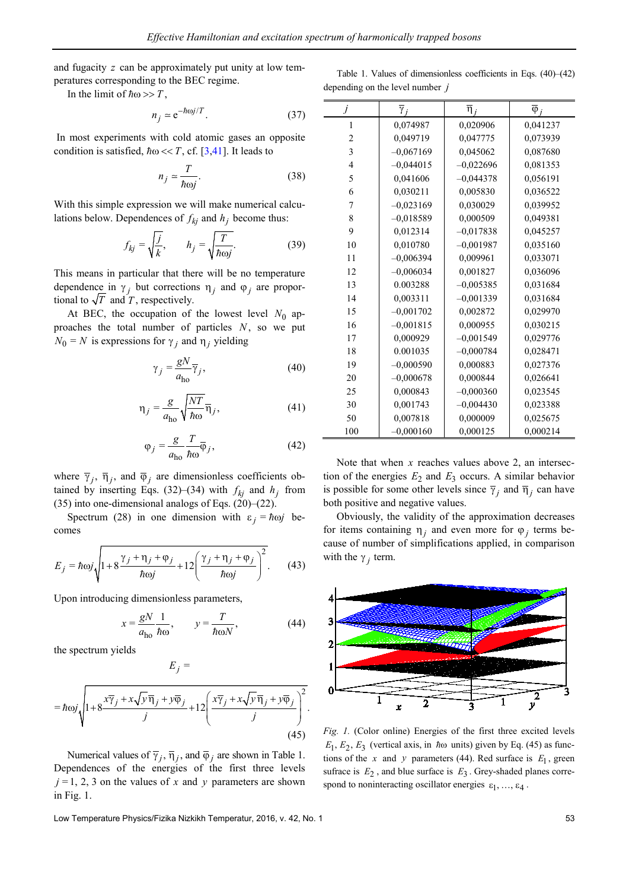and fugacity *z* can be approximately put unity at low temperatures corresponding to the BEC regime.

In the limit of  $\hbar \omega >> T$ ,

$$
n_j \simeq e^{-\hbar \omega j/T}.\tag{37}
$$

In most experiments with cold atomic gases an opposite condition is satisfied,  $\hbar \omega \ll T$ , cf. [\[3,](#page-6-2)[41\]](#page-6-32). It leads to

$$
n_j \simeq \frac{T}{\hbar \omega_j}.\tag{38}
$$

With this simple expression we will make numerical calculations below. Dependences of  $f_{ki}$  and  $h_j$  become thus:

$$
f_{kj} = \sqrt{\frac{j}{k}}, \qquad h_j = \sqrt{\frac{T}{\hbar \omega j}}.
$$
 (39)

This means in particular that there will be no temperature dependence in  $\gamma_j$  but corrections  $\eta_j$  and  $\varphi_j$  are proportional to  $\sqrt{T}$  and  $\tilde{T}$ , respectively.

At BEC, the occupation of the lowest level  $N_0$  approaches the total number of particles *N*, so we put  $N_0 = N$  is expressions for  $\gamma_i$  and  $\eta_i$  yielding

$$
\gamma_j = \frac{gN}{a_{\text{ho}}} \overline{\gamma}_j,\tag{40}
$$

$$
\eta_j = \frac{g}{a_{\text{ho}}} \sqrt{\frac{NT}{\hbar \omega}} \overline{\eta}_j, \tag{41}
$$

$$
\varphi_j = \frac{g}{a_{\text{ho}}} \frac{T}{\hbar \omega} \overline{\varphi}_j,\tag{42}
$$

where  $\overline{\gamma}_j$ ,  $\overline{\eta}_j$ , and  $\overline{\varphi}_j$  are dimensionless coefficients obtained by inserting Eqs. (32)–(34) with  $f_{kj}$  and  $h_j$  from (35) into one-dimensional analogs of Eqs.  $(20)$ – $(22)$ .

Spectrum (28) in one dimension with  $\varepsilon_i = \hbar \omega j$  becomes

$$
E_j = \hbar \omega j \sqrt{1 + 8 \frac{\gamma_j + \eta_j + \varphi_j}{\hbar \omega j} + 12 \left( \frac{\gamma_j + \eta_j + \varphi_j}{\hbar \omega j} \right)^2}.
$$
 (43)

Upon introducing dimensionless parameters,

$$
x = \frac{gN}{a_{\text{ho}}} \frac{1}{\hbar \omega}, \qquad y = \frac{T}{\hbar \omega N}, \tag{44}
$$

the spectrum yields

$$
= \hbar \omega_j \sqrt{1 + 8 \frac{x \overline{\gamma}_j + x \sqrt{y} \overline{\eta}_j + y \overline{\phi}_j}{j} + 12 \left( \frac{x \overline{\gamma}_j + x \sqrt{y} \overline{\eta}_j + y \overline{\phi}_j}{j} \right)^2}.
$$
\n(45)

 $E_i$  =

Numerical values of  $\overline{\gamma}_i$ ,  $\overline{\eta}_i$ , and  $\overline{\varphi}_i$  are shown in Table 1. Dependences of the energies of the first three levels  $j = 1, 2, 3$  on the values of *x* and *y* parameters are shown in Fig. 1.

Low Temperature Physics/Fizika Nizkikh Temperatur, 2016, v. 42, No. 1 53

Table 1. Values of dimensionless coefficients in Eqs. (40)–(42) depending on the level number *j*

| j                       | $\overline{\gamma}_i$ | $\overline{\eta}_i$ | $\overline{\varphi}_i$ |
|-------------------------|-----------------------|---------------------|------------------------|
| 1                       | 0,074987              | 0,020906            | 0,041237               |
| $\overline{c}$          | 0,049719              | 0,047775            | 0.073939               |
| $\overline{\mathbf{3}}$ | $-0,067169$           | 0,045062            | 0,087680               |
| $\overline{4}$          | $-0,044015$           | $-0,022696$         | 0.081353               |
| 5                       | 0,041606              | $-0.044378$         | 0,056191               |
| 6                       | 0,030211              | 0,005830            | 0,036522               |
| 7                       | $-0,023169$           | 0,030029            | 0,039952               |
| 8                       | $-0,018589$           | 0,000509            | 0,049381               |
| 9                       | 0,012314              | $-0,017838$         | 0.045257               |
| 10                      | 0,010780              | $-0.001987$         | 0.035160               |
| 11                      | $-0.006394$           | 0,009961            | 0.033071               |
| 12                      | $-0,006034$           | 0,001827            | 0,036096               |
| 13                      | 0.003288              | $-0,005385$         | 0,031684               |
| 14                      | 0,003311              | $-0,001339$         | 0,031684               |
| 15                      | $-0.001702$           | 0,002872            | 0,029970               |
| 16                      | $-0,001815$           | 0,000955            | 0,030215               |
| 17                      | 0,000929              | $-0,001549$         | 0,029776               |
| 18                      | 0.001035              | $-0,000784$         | 0,028471               |
| 19                      | $-0,000590$           | 0,000883            | 0.027376               |
| 20                      | $-0,000678$           | 0,000844            | 0,026641               |
| 25                      | 0,000843              | $-0,000360$         | 0.023545               |
| 30                      | 0,001743              | $-0,004430$         | 0.023388               |
| 50                      | 0,007818              | 0,000009            | 0,025675               |
| 100                     | $-0,000160$           | 0,000125            | 0,000214               |

Note that when *x* reaches values above 2, an intersection of the energies  $E_2$  and  $E_3$  occurs. A similar behavior is possible for some other levels since  $\overline{\gamma}_i$  and  $\overline{\eta}_i$  can have both positive and negative values.

Obviously, the validity of the approximation decreases for items containing  $\eta_i$  and even more for  $\varphi_i$  terms because of number of simplifications applied, in comparison with the  $\gamma$ <sub>*j*</sub> term.



*Fig. 1.* (Color online) Energies of the first three excited levels  $E_1, E_2, E_3$  (vertical axis, in  $\hbar \omega$  units) given by Eq. (45) as functions of the *x* and *y* parameters (44). Red surface is  $E_1$ , green sufrace is  $E_2$ , and blue surface is  $E_3$ . Grey-shaded planes correspond to noninteracting oscillator energies  $\varepsilon_1, \ldots, \varepsilon_4$ .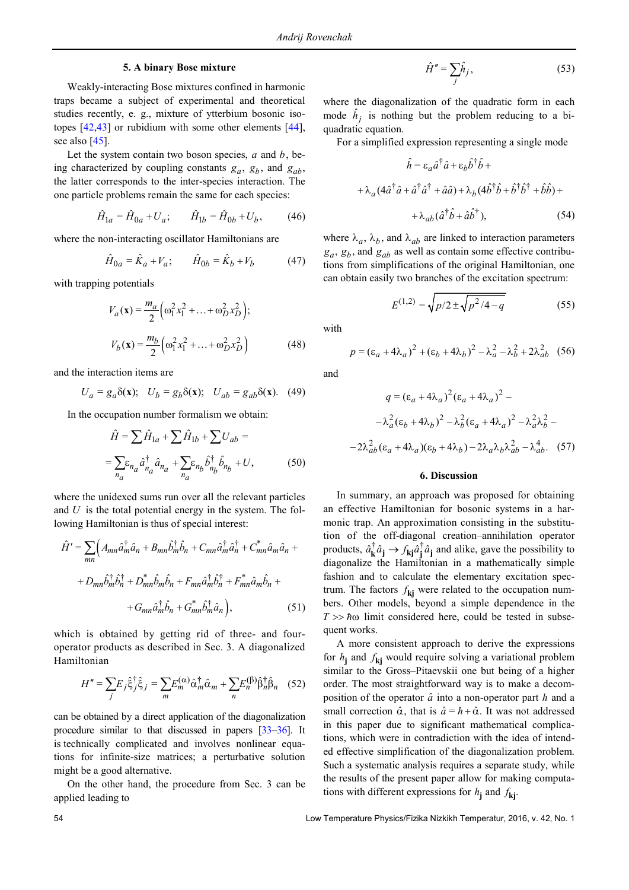#### **5. A binary Bose mixture**

Weakly-interacting Bose mixtures confined in harmonic traps became a subject of experimental and theoretical studies recently, e. g., mixture of ytterbium bosonic isotopes [\[42](#page-6-33)[,43\]](#page-6-34) or rubidium with some other elements [\[44\]](#page-6-35), see also [\[45\]](#page-6-36).

Let the system contain two boson species, *a* and *b*, being characterized by coupling constants  $g_a$ ,  $g_b$ , and  $g_{ab}$ , the latter corresponds to the inter-species interaction. The one particle problems remain the same for each species:

$$
\hat{H}_{1a} = \hat{H}_{0a} + U_a; \qquad \hat{H}_{1b} = \hat{H}_{0b} + U_b, \tag{46}
$$

where the non-interacting oscillator Hamiltonians are

$$
\hat{H}_{0a} = \hat{K}_a + V_a; \qquad \hat{H}_{0b} = \hat{K}_b + V_b \tag{47}
$$

with trapping potentials

$$
V_a(\mathbf{x}) = \frac{m_a}{2} \left( \omega_1^2 x_1^2 + \dots + \omega_D^2 x_D^2 \right);
$$
  

$$
V_b(\mathbf{x}) = \frac{m_b}{2} \left( \omega_1^2 x_1^2 + \dots + \omega_D^2 x_D^2 \right)
$$
(48)

and the interaction items are

$$
U_a = g_a \delta(\mathbf{x}); \quad U_b = g_b \delta(\mathbf{x}); \quad U_{ab} = g_{ab} \delta(\mathbf{x}). \quad (49)
$$

In the occupation number formalism we obtain:

$$
\hat{H} = \sum \hat{H}_{1a} + \sum \hat{H}_{1b} + \sum U_{ab} =
$$

$$
= \sum_{n_a} \varepsilon_{n_a} \hat{a}_{n_a}^{\dagger} \hat{a}_{n_a} + \sum_{n_a} \varepsilon_{n_b} \hat{b}_{n_b}^{\dagger} \hat{b}_{n_b} + U,
$$
(50)

where the unidexed sums run over all the relevant particles and *U* is the total potential energy in the system. The following Hamiltonian is thus of special interest:

$$
\hat{H}' = \sum_{mn} \left( A_{mn} \hat{a}_m^{\dagger} \hat{a}_n + B_{mn} \hat{b}_m^{\dagger} \hat{b}_n + C_{mn} \hat{a}_m^{\dagger} \hat{a}_n^{\dagger} + C_{mn}^* \hat{a}_m \hat{a}_n + \right.
$$

$$
+ D_{mn} \hat{b}_m^{\dagger} \hat{b}_n^{\dagger} + D_{mn}^* \hat{b}_m \hat{b}_n + F_{mn} \hat{a}_m^{\dagger} \hat{b}_n^{\dagger} + F_{mn}^* \hat{a}_m \hat{b}_n + \right.
$$

$$
+ G_{mn} \hat{a}_m^{\dagger} \hat{b}_n + G_{mn}^* \hat{b}_m^{\dagger} \hat{a}_n \right), \tag{51}
$$

which is obtained by getting rid of three- and fouroperator products as described in Sec. 3. A diagonalized Hamiltonian

$$
H'' = \sum_{j} E_j \hat{\xi}_j^{\dagger} \hat{\xi}_j = \sum_{m} E_m^{(\alpha)} \hat{\alpha}_m^{\dagger} \hat{\alpha}_m + \sum_{n} E_n^{(\beta)} \hat{\beta}_n^{\dagger} \hat{\beta}_n \quad (52)
$$

сan be obtained by a direct application of the diagonalization procedure similar to that discussed in papers [\[33–](#page-6-27)[36\]](#page-6-28). It is technically complicated and involves nonlinear equations for infinite-size matrices; a perturbative solution might be a good alternative.

On the other hand, the procedure from Sec. 3 can be applied leading to

$$
\hat{H}'' = \sum_{j} \hat{h}_j,\tag{53}
$$

where the diagonalization of the quadratic form in each mode  $\hat{h}_j$  is nothing but the problem reducing to a biquadratic equation.

For a simplified expression representing a single mode

$$
\hat{h} = \varepsilon_a \hat{a}^\dagger \hat{a} + \varepsilon_b \hat{b}^\dagger \hat{b} +
$$
  
+  $\lambda_a (4 \hat{a}^\dagger \hat{a} + \hat{a}^\dagger \hat{a}^\dagger + \hat{a}\hat{a}) + \lambda_b (4 \hat{b}^\dagger \hat{b} + \hat{b}^\dagger \hat{b}^\dagger + \hat{b}\hat{b}) +$   
+  $\lambda_{ab} (\hat{a}^\dagger \hat{b} + \hat{a}\hat{b}^\dagger),$  (54)

where  $\lambda_a$ ,  $\lambda_b$ , and  $\lambda_{ab}$  are linked to interaction parameters  $g_a$ ,  $g_b$ , and  $g_{ab}$  as well as contain some effective contributions from simplifications of the original Hamiltonian, one can obtain easily two branches of the excitation spectrum:

$$
E^{(1,2)} = \sqrt{p/2 \pm \sqrt{p^2/4 - q}}
$$
 (55)

with

 $p = (\varepsilon_a + 4\lambda_a)^2 + (\varepsilon_b + 4\lambda_b)^2 - \lambda_a^2 - \lambda_b^2 + 2\lambda_{ab}^2$  (56)

and

$$
q = (\varepsilon_a + 4\lambda_a)^2 (\varepsilon_a + 4\lambda_a)^2 -
$$

$$
-\lambda_a^2 (\varepsilon_b + 4\lambda_b)^2 - \lambda_b^2 (\varepsilon_a + 4\lambda_a)^2 - \lambda_a^2 \lambda_b^2 -
$$

$$
-2\lambda_{ab}^2 (\varepsilon_a + 4\lambda_a)(\varepsilon_b + 4\lambda_b) - 2\lambda_a \lambda_b \lambda_{ab}^2 - \lambda_{ab}^4. \quad (57)
$$

### **6. Discussion**

In summary, an approach was proposed for obtaining an effective Hamiltonian for bosonic systems in a harmonic trap. An approximation consisting in the substitution of the off-diagonal creation–annihilation operator products,  $\hat{a}_{\mathbf{k}}^{\dagger} \hat{a}_{\mathbf{i}} \rightarrow f_{\mathbf{k} \mathbf{i}} \hat{a}_{\mathbf{i}}^{\dagger} \hat{a}_{\mathbf{i}}$  and alike, gave the possibility to diagonalize the Hamiltonian in a mathematically simple fashion and to calculate the elementary excitation spectrum. The factors  $f_{\bf k j}$  were related to the occupation numbers. Other models, beyond a simple dependence in the  $T \gg \hbar \omega$  limit considered here, could be tested in subsequent works.

A more consistent approach to derive the expressions for  $h$ **j** and  $f$ **kj** would require solving a variational problem similar to the Gross–Pitaevskii one but being of a higher order. The most straightforward way is to make a decomposition of the operator *a*ˆ into a non-operator part *h* and a small correction  $\hat{\alpha}$ , that is  $\hat{a} = h + \hat{\alpha}$ . It was not addressed in this paper due to significant mathematical complications, which were in contradiction with the idea of intended effective simplification of the diagonalization problem. Such a systematic analysis requires a separate study, while the results of the present paper allow for making computations with different expressions for  $h_i$  and  $f_{ki}$ .

54 Low Temperature Physics/Fizika Nizkikh Temperatur, 2016, v. 42, No. 1